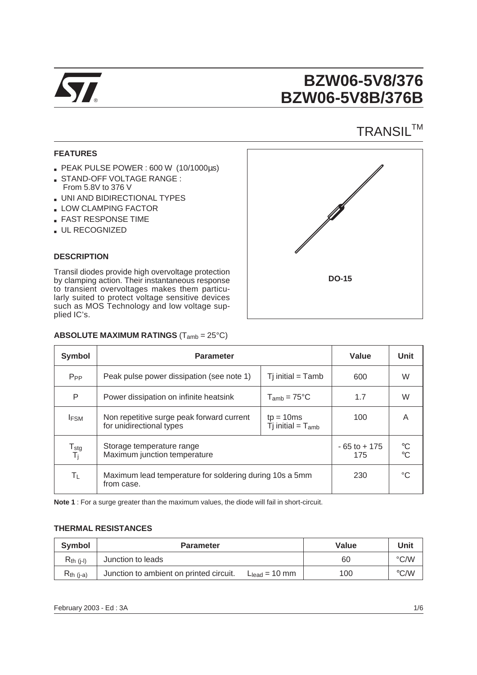

# **BZW06-5V8/376 BZW06-5V8B/376B**

## **TRANSIL™**

### **FEATURES**

- PEAK PULSE POWER : 600 W (10/1000µs)
- STAND-OFF VOLTAGE RANGE : From 5.8V to 376 V
- UNI AND BIDIRECTIONAL TYPES
- **LOW CLAMPING FACTOR**
- **EXAST RESPONSE TIME**
- UL RECOGNIZED

### **DESCRIPTION**

Transil diodes provide high overvoltage protection by clamping action. Their instantaneous response to transient overvoltages makes them particularly suited to protect voltage sensitive devices such as MOS Technology and low voltage supplied IC's.



| <b>Symbol</b>                         | <b>Parameter</b>                                                      | Value                  | <b>Unit</b>                     |
|---------------------------------------|-----------------------------------------------------------------------|------------------------|---------------------------------|
| $P_{PP}$                              | Peak pulse power dissipation (see note 1)                             | 600                    | W                               |
| P                                     | Power dissipation on infinite heatsink                                | 1.7                    | W                               |
| <b>IFSM</b>                           | Non repetitive surge peak forward current<br>for unidirectional types | 100                    | A                               |
| $\frac{T_{\text{stg}}}{T_{\text{i}}}$ | Storage temperature range<br>Maximum junction temperature             | $-65$ to $+175$<br>175 | $\mathrm{C}$<br>$\rm ^{\circ}C$ |
| ΤL                                    | Maximum lead temperature for soldering during 10s a 5mm<br>from case. | 230                    | °C                              |

### **ABSOLUTE MAXIMUM RATINGS** (Tamb = 25°C)

**Note 1** : For a surge greater than the maximum values, the diode will fail in short-circuit.

### **THERMAL RESISTANCES**

| Symbol         | <b>Parameter</b>                        | Value              | Unit |               |
|----------------|-----------------------------------------|--------------------|------|---------------|
| $R_{th}$ (i-l) | Junction to leads                       |                    | 60   | $\degree$ C/W |
| $R_{th}$ (j-a) | Junction to ambient on printed circuit. | $L_{lead} = 10$ mm | 100  | $\degree$ C/W |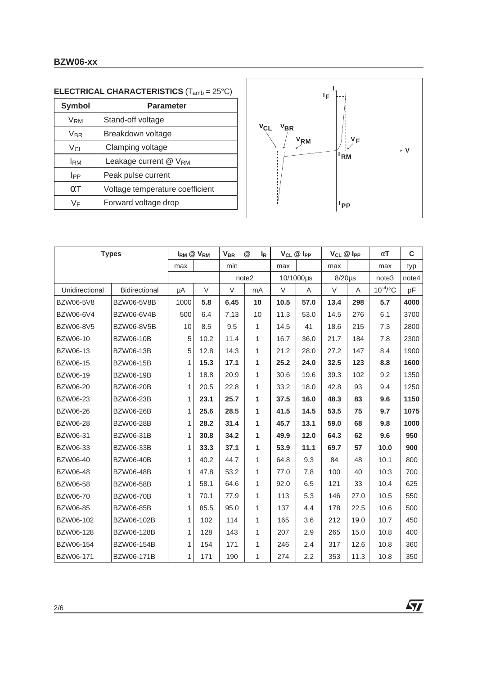### **BZW06-xx**

| <b>Symbol</b>   | <b>Parameter</b>                  |  |  |  |  |  |  |  |
|-----------------|-----------------------------------|--|--|--|--|--|--|--|
| V <sub>RM</sub> | Stand-off voltage                 |  |  |  |  |  |  |  |
| Vbr             | Breakdown voltage                 |  |  |  |  |  |  |  |
| $V_{CL}$        | Clamping voltage                  |  |  |  |  |  |  |  |
| <b>IRM</b>      | Leakage current @ V <sub>RM</sub> |  |  |  |  |  |  |  |
| <b>I</b> PP     | Peak pulse current                |  |  |  |  |  |  |  |
| $\alpha$ T      | Voltage temperature coefficient   |  |  |  |  |  |  |  |
| VF              | Forward voltage drop              |  |  |  |  |  |  |  |
|                 |                                   |  |  |  |  |  |  |  |





| <b>Types</b>     |                   | $I_{RM}$ $@$ $V_{RM}$ |        | @<br><b>V<sub>BR</sub></b><br>k |    | $V_{CL}$ $@$ $I_{PP}$ |      | $V_{CL}$ @ Ipp |      | $\alpha$ T    | C     |
|------------------|-------------------|-----------------------|--------|---------------------------------|----|-----------------------|------|----------------|------|---------------|-------|
|                  |                   | max                   |        | min                             |    | max                   |      | max            |      | max           | typ   |
|                  |                   |                       |        | note2                           |    | 10/1000µs             |      | $8/20 \mu s$   |      | note3         | note4 |
| Unidirectional   | Bidirectional     | $\mu A$               | $\vee$ | $\vee$                          | mA | V                     | Α    | $\vee$         | A    | $10^{-4}$ /°C | рF    |
| <b>BZW06-5V8</b> | <b>BZW06-5V8B</b> | 1000                  | 5.8    | 6.45                            | 10 | 10.5                  | 57.0 | 13.4           | 298  | 5.7           | 4000  |
| BZW06-6V4        | BZW06-6V4B        | 500                   | 6.4    | 7.13                            | 10 | 11.3                  | 53.0 | 14.5           | 276  | 6.1           | 3700  |
| BZW06-8V5        | <b>BZW06-8V5B</b> | 10                    | 8.5    | 9.5                             | 1  | 14.5                  | 41   | 18.6           | 215  | 7.3           | 2800  |
| <b>BZW06-10</b>  | <b>BZW06-10B</b>  | 5                     | 10.2   | 11.4                            | 1  | 16.7                  | 36.0 | 21.7           | 184  | 7.8           | 2300  |
| <b>BZW06-13</b>  | <b>BZW06-13B</b>  | 5                     | 12.8   | 14.3                            | 1  | 21.2                  | 28.0 | 27.2           | 147  | 8.4           | 1900  |
| <b>BZW06-15</b>  | <b>BZW06-15B</b>  | 1                     | 15.3   | 17.1                            | 1  | 25.2                  | 24.0 | 32.5           | 123  | 8.8           | 1600  |
| BZW06-19         | <b>BZW06-19B</b>  | 1                     | 18.8   | 20.9                            | 1  | 30.6                  | 19.6 | 39.3           | 102  | 9.2           | 1350  |
| <b>BZW06-20</b>  | <b>BZW06-20B</b>  | 1                     | 20.5   | 22.8                            | 1  | 33.2                  | 18.0 | 42.8           | 93   | 9.4           | 1250  |
| BZW06-23         | <b>BZW06-23B</b>  | 1                     | 23.1   | 25.7                            | 1  | 37.5                  | 16.0 | 48.3           | 83   | 9.6           | 1150  |
| <b>BZW06-26</b>  | <b>BZW06-26B</b>  | 1                     | 25.6   | 28.5                            | 1  | 41.5                  | 14.5 | 53.5           | 75   | 9.7           | 1075  |
| <b>BZW06-28</b>  | <b>BZW06-28B</b>  | 1                     | 28.2   | 31.4                            | 1  | 45.7                  | 13.1 | 59.0           | 68   | 9.8           | 1000  |
| BZW06-31         | <b>BZW06-31B</b>  | 1                     | 30.8   | 34.2                            | 1  | 49.9                  | 12.0 | 64.3           | 62   | 9.6           | 950   |
| BZW06-33         | <b>BZW06-33B</b>  | 1                     | 33.3   | 37.1                            | 1  | 53.9                  | 11.1 | 69.7           | 57   | 10.0          | 900   |
| <b>BZW06-40</b>  | <b>BZW06-40B</b>  | 1                     | 40.2   | 44.7                            | 1  | 64.8                  | 9.3  | 84             | 48   | 10.1          | 800   |
| <b>BZW06-48</b>  | <b>BZW06-48B</b>  | 1                     | 47.8   | 53.2                            | 1  | 77.0                  | 7.8  | 100            | 40   | 10.3          | 700   |
| <b>BZW06-58</b>  | <b>BZW06-58B</b>  | 1                     | 58.1   | 64.6                            | 1  | 92.0                  | 6.5  | 121            | 33   | 10.4          | 625   |
| <b>BZW06-70</b>  | <b>BZW06-70B</b>  | 1                     | 70.1   | 77.9                            | 1  | 113                   | 5.3  | 146            | 27.0 | 10.5          | 550   |
| <b>BZW06-85</b>  | <b>BZW06-85B</b>  | 1                     | 85.5   | 95.0                            | 1  | 137                   | 4.4  | 178            | 22.5 | 10.6          | 500   |
| BZW06-102        | BZW06-102B        | 1                     | 102    | 114                             | 1  | 165                   | 3.6  | 212            | 19.0 | 10.7          | 450   |
| BZW06-128        | BZW06-128B        | 1                     | 128    | 143                             | 1  | 207                   | 2.9  | 265            | 15.0 | 10.8          | 400   |
| BZW06-154        | <b>BZW06-154B</b> | 1                     | 154    | 171                             | 1  | 246                   | 2.4  | 317            | 12.6 | 10.8          | 360   |
| BZW06-171        | BZW06-171B        | 1                     | 171    | 190                             | 1  | 274                   | 2.2  | 353            | 11.3 | 10.8          | 350   |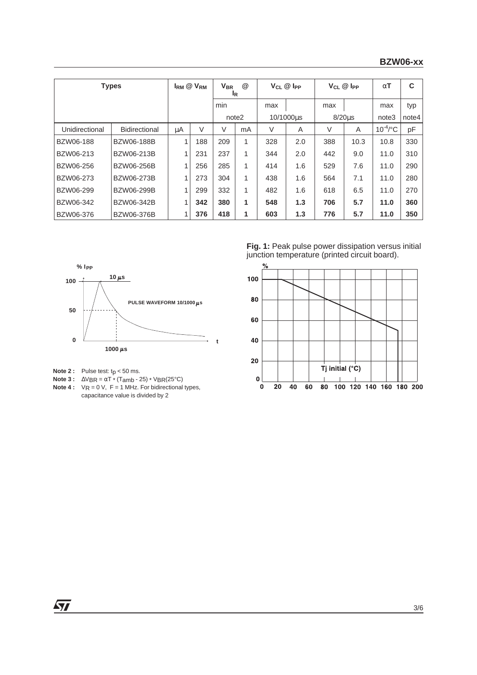| <b>Types</b>   |                      |    | $I_{RM}$ $@$ $V_{RM}$ | $^{\textregistered}$<br><b>V<sub>BR</sub></b><br><b>IR</b> |    | $V_{CL}$ $@$ $I_{PP}$ |     | $V_{CL}$ $@$ $\n  PP$ |      | $\alpha$ T    | C     |
|----------------|----------------------|----|-----------------------|------------------------------------------------------------|----|-----------------------|-----|-----------------------|------|---------------|-------|
|                |                      |    |                       | min                                                        |    | max                   |     | max                   |      | max           | typ   |
|                |                      |    |                       | note2                                                      |    | 10/1000us             |     | $8/20u$ s             |      | note3         | note4 |
| Unidirectional | <b>Bidirectional</b> | μA | V                     | V                                                          | mA | V                     | A   | V                     | A    | $10^{-4}$ /°C | pF    |
| BZW06-188      | <b>BZW06-188B</b>    | 1  | 188                   | 209                                                        | 1  | 328                   | 2.0 | 388                   | 10.3 | 10.8          | 330   |
| BZW06-213      | BZW06-213B           | 1  | 231                   | 237                                                        | 1  | 344                   | 2.0 | 442                   | 9.0  | 11.0          | 310   |
| BZW06-256      | BZW06-256B           | 1  | 256                   | 285                                                        | 1  | 414                   | 1.6 | 529                   | 7.6  | 11.0          | 290   |
| BZW06-273      | BZW06-273B           | 1  | 273                   | 304                                                        | 1  | 438                   | 1.6 | 564                   | 7.1  | 11.0          | 280   |
| BZW06-299      | BZW06-299B           | 1  | 299                   | 332                                                        | 1  | 482                   | 1.6 | 618                   | 6.5  | 11.0          | 270   |
| BZW06-342      | BZW06-342B           | 1  | 342                   | 380                                                        | 1  | 548                   | 1.3 | 706                   | 5.7  | 11.0          | 360   |
| BZW06-376      | <b>BZW06-376B</b>    |    | 376                   | 418                                                        | 1  | 603                   | 1.3 | 776                   | 5.7  | 11.0          | 350   |



**Note 2 :** Pulse test:  $tp < 50$  ms.

**Note 3 :**  $\Delta VBR = \alpha T^*$  (Tamb - 25) \* VBR(25°C)

**Note 4 :**  $\forall R = 0 \forall$ ,  $F = 1$  MHz. For bidirectional types, capacitance value is divided by 2

**Fig. 1:** Peak pulse power dissipation versus initial junction temperature (printed circuit board).



 $\sqrt{27}$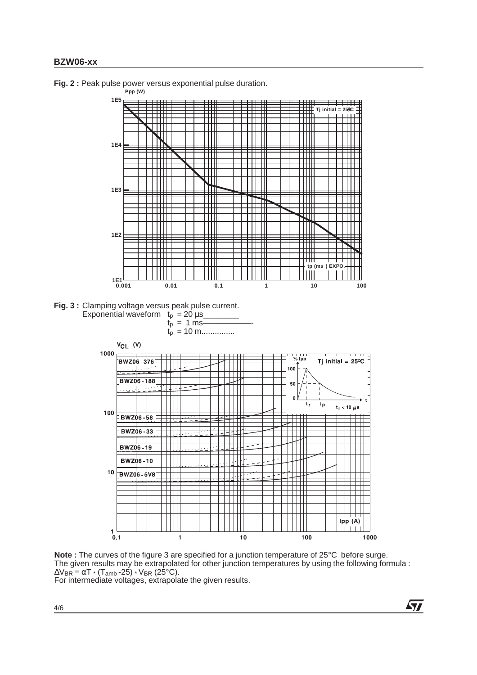

**Fig. 2 :** Peak pulse power versus exponential pulse duration.



For intermediate voltages, extrapolate the given results.

**Ayy**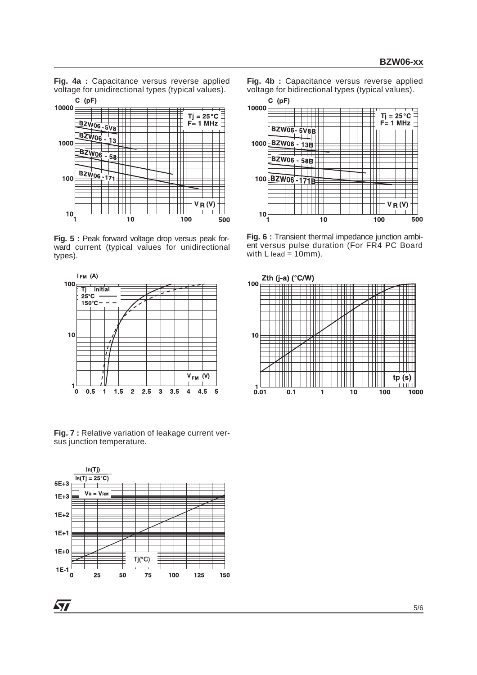**Fig. 4a :** Capacitance versus reverse applied voltage for unidirectional types (typical values).



**Fig. 5 :** Peak forward voltage drop versus peak forward current (typical values for unidirectional types).



**Fig. 7 :** Relative variation of leakage current versus junction temperature.



57

**Fig. 4b :** Capacitance versus reverse applied voltage for bidirectional types (typical values).



**Fig. 6 :** Transient thermal impedance junction ambient versus pulse duration (For FR4 PC Board with  $L$  lead = 10mm).